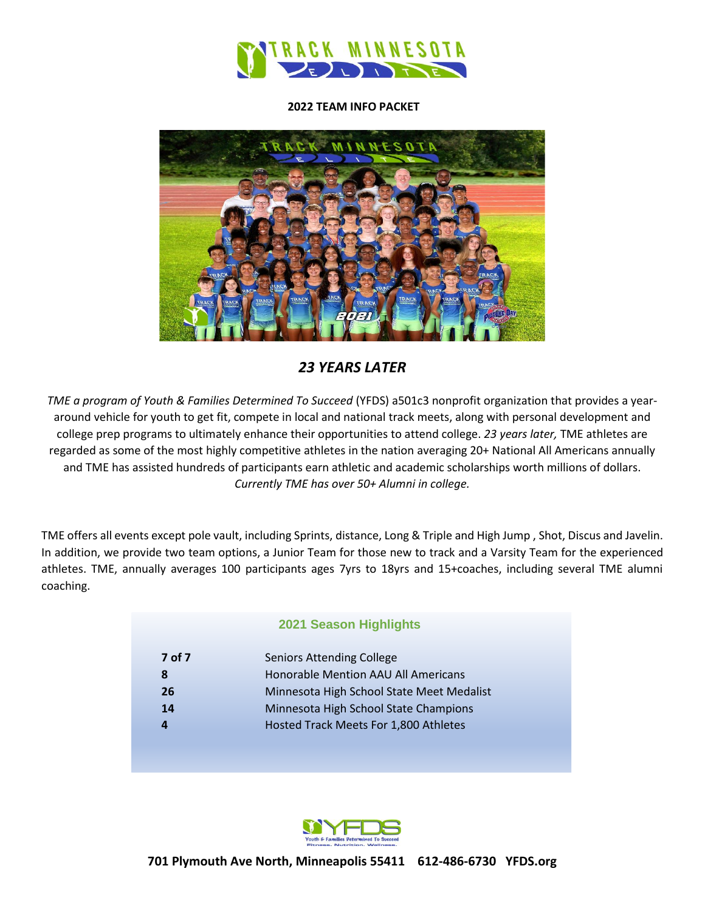

#### **2022 TEAM INFO PACKET**



## *23 YEARS LATER*

*TME a program of Youth & Families Determined To Succeed* (YFDS) a501c3 nonprofit organization that provides a yeararound vehicle for youth to get fit, compete in local and national track meets, along with personal development and college prep programs to ultimately enhance their opportunities to attend college. *23 years later,* TME athletes are regarded as some of the most highly competitive athletes in the nation averaging 20+ National All Americans annually and TME has assisted hundreds of participants earn athletic and academic scholarships worth millions of dollars. *Currently TME has over 50+ Alumni in college.*

TME offers all events except pole vault, including Sprints, distance, Long & Triple and High Jump , Shot, Discus and Javelin. In addition, we provide two team options, a Junior Team for those new to track and a Varsity Team for the experienced athletes. TME, annually averages 100 participants ages 7yrs to 18yrs and 15+coaches, including several TME alumni coaching.

#### **2021 Season Highlights**

| 7 of 7 | <b>Seniors Attending College</b>          |
|--------|-------------------------------------------|
| 8      | Honorable Mention AAU All Americans       |
| 26     | Minnesota High School State Meet Medalist |
| 14     | Minnesota High School State Champions     |
|        | Hosted Track Meets For 1,800 Athletes     |
|        |                                           |

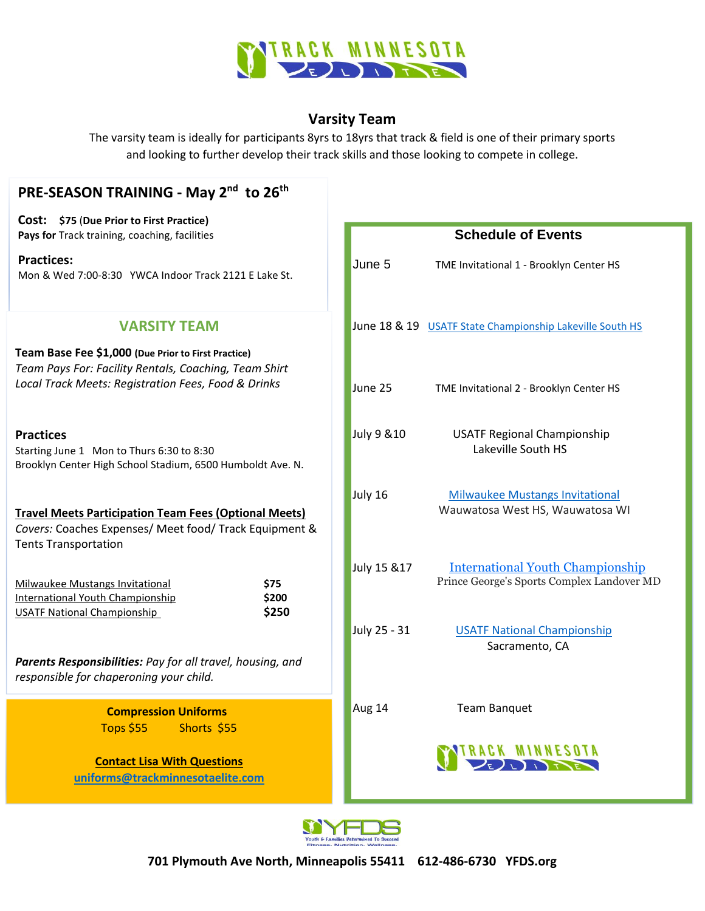

## **Varsity Team**

The varsity team is ideally for participants 8yrs to 18yrs that track & field is one of their primary sports and looking to further develop their track skills and those looking to compete in college.

| PRE-SEASON TRAINING - May 2 <sup>nd</sup> to 26 <sup>th</sup>                                                                                                       |                                                                                                       |  |
|---------------------------------------------------------------------------------------------------------------------------------------------------------------------|-------------------------------------------------------------------------------------------------------|--|
| Cost: \$75 (Due Prior to First Practice)<br>Pays for Track training, coaching, facilities                                                                           | <b>Schedule of Events</b>                                                                             |  |
| <b>Practices:</b><br>Mon & Wed 7:00-8:30 YWCA Indoor Track 2121 E Lake St.                                                                                          | June 5<br>TME Invitational 1 - Brooklyn Center HS                                                     |  |
| <b>VARSITY TEAM</b>                                                                                                                                                 | June 18 & 19 USATF State Championship Lakeville South HS                                              |  |
| Team Base Fee \$1,000 (Due Prior to First Practice)<br>Team Pays For: Facility Rentals, Coaching, Team Shirt<br>Local Track Meets: Registration Fees, Food & Drinks | June 25<br>TME Invitational 2 - Brooklyn Center HS                                                    |  |
| <b>Practices</b><br>Starting June 1 Mon to Thurs 6:30 to 8:30<br>Brooklyn Center High School Stadium, 6500 Humboldt Ave. N.                                         | July 9 & 10<br><b>USATF Regional Championship</b><br>Lakeville South HS                               |  |
| <b>Travel Meets Participation Team Fees (Optional Meets)</b><br>Covers: Coaches Expenses/ Meet food/ Track Equipment &<br><b>Tents Transportation</b>               | July 16<br><b>Milwaukee Mustangs Invitational</b><br>Wauwatosa West HS, Wauwatosa WI                  |  |
| <b>Milwaukee Mustangs Invitational</b><br>\$75<br>International Youth Championship<br>\$200<br>\$250<br><b>USATF National Championship</b>                          | <b>International Youth Championship</b><br>July 15 & 17<br>Prince George's Sports Complex Landover MD |  |
|                                                                                                                                                                     | July 25 - 31<br><b>USATF National Championship</b><br>Sacramento, CA                                  |  |
| Parents Responsibilities: Pay for all travel, housing, and<br>responsible for chaperoning your child.                                                               |                                                                                                       |  |
| <b>Compression Uniforms</b><br>Shorts \$55<br><b>Tops \$55</b>                                                                                                      | Aug 14<br><b>Team Banquet</b>                                                                         |  |
| <b>Contact Lisa With Questions</b><br>uniforms@trackminnesotaelite.com                                                                                              | TRACK MINNESOTA                                                                                       |  |

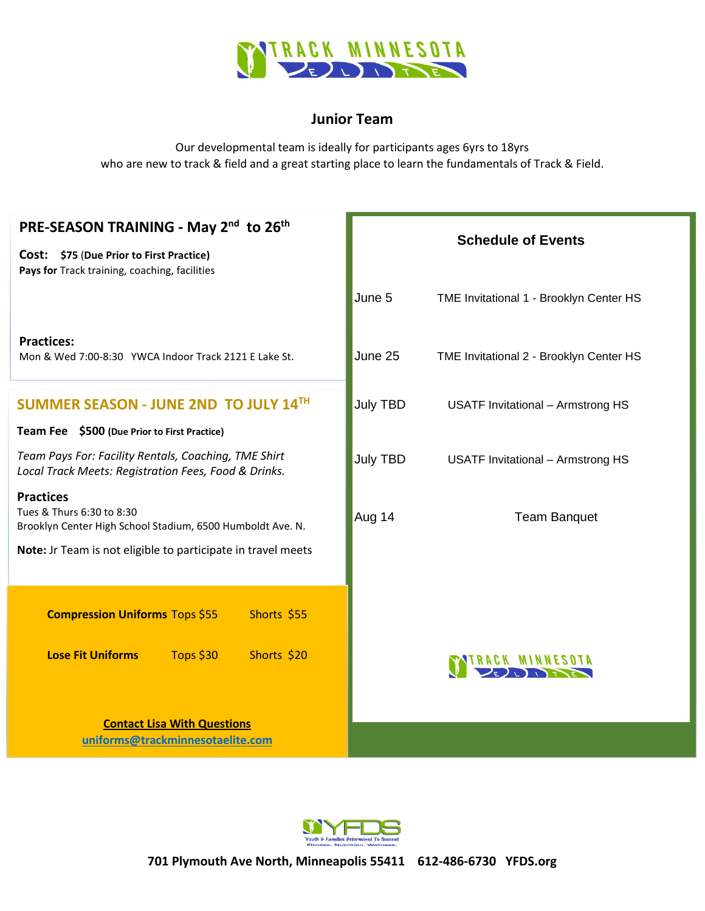

## **Junior Team**

Our developmental team is ideally for participants ages 6yrs to 18yrs who are new to track & field and a great starting place to learn the fundamentals of Track & Field.

| PRE-SEASON TRAINING - May 2 <sup>nd</sup> to 26 <sup>th</sup>                                                | <b>Schedule of Events</b> |                                          |
|--------------------------------------------------------------------------------------------------------------|---------------------------|------------------------------------------|
| Cost: \$75 (Due Prior to First Practice)<br>Pays for Track training, coaching, facilities                    |                           |                                          |
|                                                                                                              | June 5                    | TME Invitational 1 - Brooklyn Center HS  |
| <b>Practices:</b><br>Mon & Wed 7:00-8:30 YWCA Indoor Track 2121 E Lake St.                                   | June 25                   | TME Invitational 2 - Brooklyn Center HS  |
| SUMMER SEASON - JUNE 2ND TO JULY 14TH                                                                        | <b>July TBD</b>           | <b>USATF Invitational - Armstrong HS</b> |
| Team Fee \$500 (Due Prior to First Practice)                                                                 |                           |                                          |
| Team Pays For: Facility Rentals, Coaching, TME Shirt<br>Local Track Meets: Registration Fees, Food & Drinks. | <b>July TBD</b>           | <b>USATF Invitational - Armstrong HS</b> |
| <b>Practices</b><br>Tues & Thurs 6:30 to 8:30<br>Brooklyn Center High School Stadium, 6500 Humboldt Ave. N.  | Aug 14                    | <b>Team Banquet</b>                      |
| Note: Jr Team is not eligible to participate in travel meets                                                 |                           |                                          |
| <b>Compression Uniforms Tops \$55</b><br>Shorts \$55                                                         |                           |                                          |
| <b>Lose Fit Uniforms</b><br>Tops \$30<br>Shorts \$20                                                         |                           |                                          |
| <b>Contact Lisa With Questions</b><br>uniforms@trackminnesotaelite.com                                       |                           |                                          |

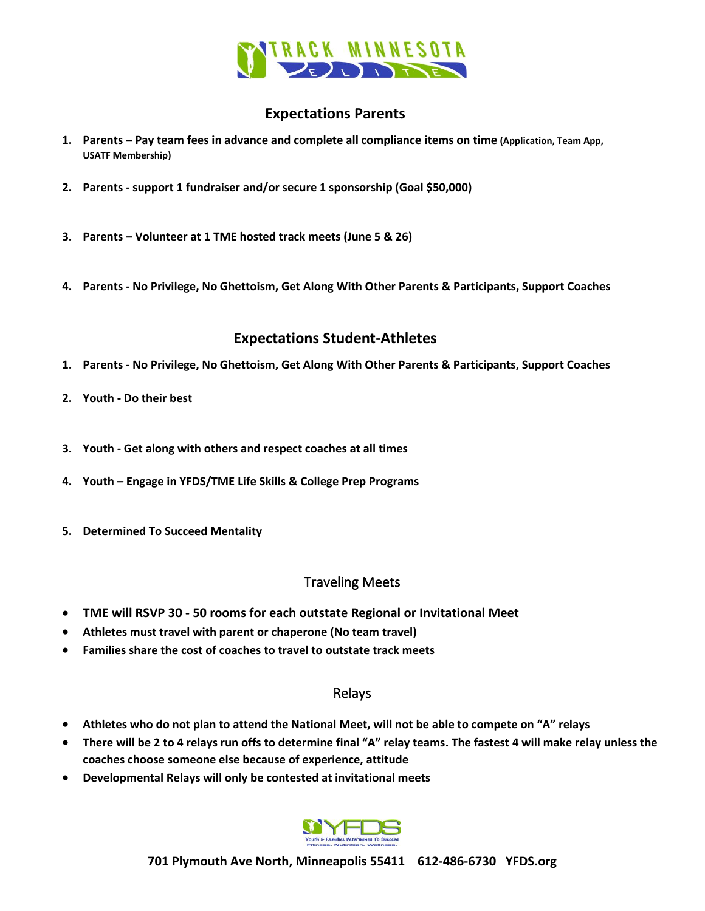

## **Expectations Parents**

- **1. Parents – Pay team fees in advance and complete all compliance items on time (Application, Team App, USATF Membership)**
- **2. Parents - support 1 fundraiser and/or secure 1 sponsorship (Goal \$50,000)**
- **3. Parents – Volunteer at 1 TME hosted track meets (June 5 & 26)**
- **4. Parents - No Privilege, No Ghettoism, Get Along With Other Parents & Participants, Support Coaches**

## **Expectations Student-Athletes**

- **1. Parents - No Privilege, No Ghettoism, Get Along With Other Parents & Participants, Support Coaches**
- **2. Youth - Do their best**
- **3. Youth - Get along with others and respect coaches at all times**
- **4. Youth – Engage in YFDS/TME Life Skills & College Prep Programs**
- **5. Determined To Succeed Mentality**

### Traveling Meets

- **TME will RSVP 30 - 50 rooms for each outstate Regional or Invitational Meet**
- **Athletes must travel with parent or chaperone (No team travel)**
- **Families share the cost of coaches to travel to outstate track meets**

### Relays

- **Athletes who do not plan to attend the National Meet, will not be able to compete on "A" relays**
- **There will be 2 to 4 relays run offs to determine final "A" relay teams. The fastest 4 will make relay unless the coaches choose someone else because of experience, attitude**
- **Developmental Relays will only be contested at invitational meets**